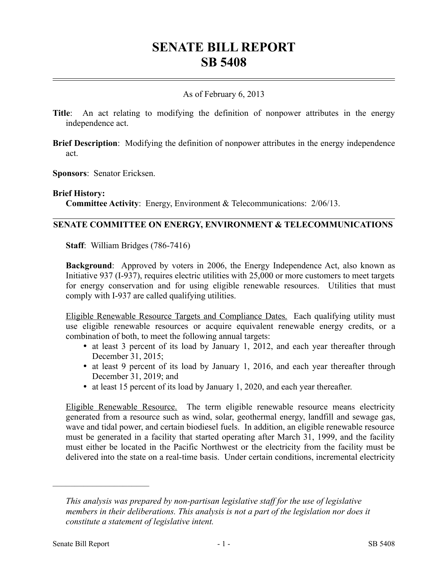# **SENATE BILL REPORT SB 5408**

## As of February 6, 2013

- **Title**: An act relating to modifying the definition of nonpower attributes in the energy independence act.
- **Brief Description**: Modifying the definition of nonpower attributes in the energy independence act.
- **Sponsors**: Senator Ericksen.

#### **Brief History:**

**Committee Activity**: Energy, Environment & Telecommunications: 2/06/13.

## **SENATE COMMITTEE ON ENERGY, ENVIRONMENT & TELECOMMUNICATIONS**

**Staff**: William Bridges (786-7416)

**Background**: Approved by voters in 2006, the Energy Independence Act, also known as Initiative 937 (I-937), requires electric utilities with 25,000 or more customers to meet targets for energy conservation and for using eligible renewable resources. Utilities that must comply with I-937 are called qualifying utilities.

Eligible Renewable Resource Targets and Compliance Dates. Each qualifying utility must use eligible renewable resources or acquire equivalent renewable energy credits, or a combination of both, to meet the following annual targets:

- at least 3 percent of its load by January 1, 2012, and each year thereafter through December 31, 2015;
- at least 9 percent of its load by January 1, 2016, and each year thereafter through December 31, 2019; and
- at least 15 percent of its load by January 1, 2020, and each year thereafter.

Eligible Renewable Resource. The term eligible renewable resource means electricity generated from a resource such as wind, solar, geothermal energy, landfill and sewage gas, wave and tidal power, and certain biodiesel fuels. In addition, an eligible renewable resource must be generated in a facility that started operating after March 31, 1999, and the facility must either be located in the Pacific Northwest or the electricity from the facility must be delivered into the state on a real-time basis. Under certain conditions, incremental electricity

––––––––––––––––––––––

*This analysis was prepared by non-partisan legislative staff for the use of legislative members in their deliberations. This analysis is not a part of the legislation nor does it constitute a statement of legislative intent.*